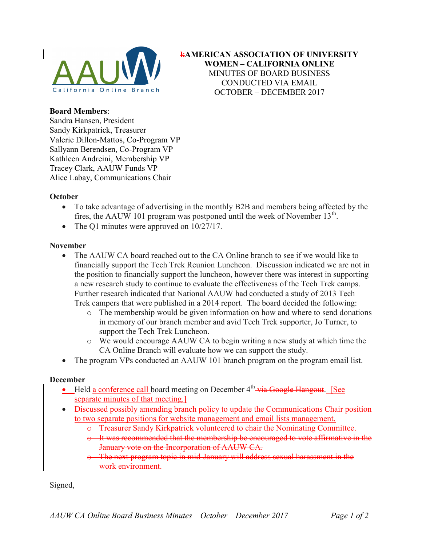

kAMERICAN ASSOCIATION OF UNIVERSITY WOMEN – CALIFORNIA ONLINE MINUTES OF BOARD BUSINESS CONDUCTED VIA EMAIL OCTOBER – DECEMBER 2017

## Board Members:

Sandra Hansen, President Sandy Kirkpatrick, Treasurer Valerie Dillon-Mattos, Co-Program VP Sallyann Berendsen, Co-Program VP Kathleen Andreini, Membership VP Tracey Clark, AAUW Funds VP Alice Labay, Communications Chair

## **October**

- To take advantage of advertising in the monthly B2B and members being affected by the fires, the AAUW 101 program was postponed until the week of November  $13<sup>th</sup>$ .
- The Q1 minutes were approved on  $10/27/17$ .

## November

- The AAUW CA board reached out to the CA Online branch to see if we would like to financially support the Tech Trek Reunion Luncheon. Discussion indicated we are not in the position to financially support the luncheon, however there was interest in supporting a new research study to continue to evaluate the effectiveness of the Tech Trek camps. Further research indicated that National AAUW had conducted a study of 2013 Tech Trek campers that were published in a 2014 report. The board decided the following:
	- o The membership would be given information on how and where to send donations in memory of our branch member and avid Tech Trek supporter, Jo Turner, to support the Tech Trek Luncheon.
	- o We would encourage AAUW CA to begin writing a new study at which time the CA Online Branch will evaluate how we can support the study.
- The program VPs conducted an AAUW 101 branch program on the program email list.

## December

- $\bullet$  Held a conference call board meeting on December  $4<sup>th</sup>$  via Google Hangout. [See separate minutes of that meeting.]
- Discussed possibly amending branch policy to update the Communications Chair position to two separate positions for website management and email lists management.
	- o Treasurer Sandy Kirkpatrick volunteered to chair the Nominating Committee.
	- $\theta$  It was recommended that the membership be encouraged to vote affirmative in the January vote on the Incorporation of AAUW CA.
	- The next program topic in mid-January will address sexual harassment in the work environment.

Signed,